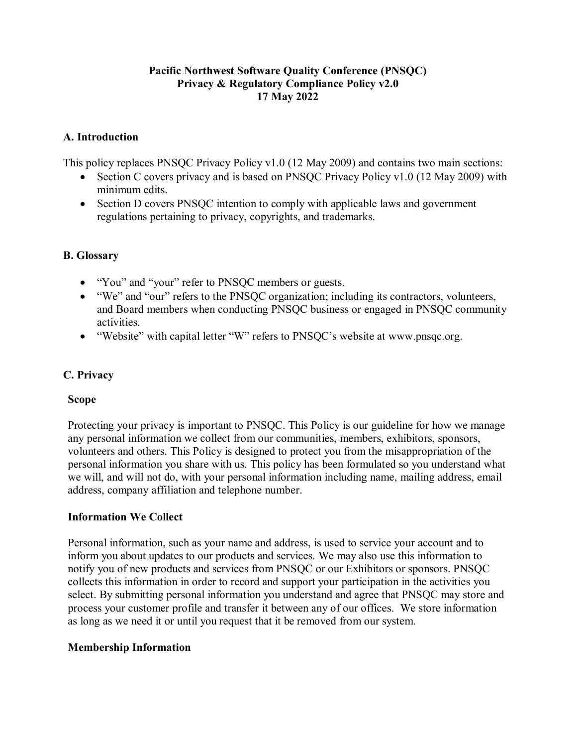# **Pacific Northwest Software Quality Conference (PNSQC) Privacy & Regulatory Compliance Policy v2.0 17 May 2022**

# **A. Introduction**

This policy replaces PNSQC Privacy Policy v1.0 (12 May 2009) and contains two main sections:

- Section C covers privacy and is based on PNSQC Privacy Policy v1.0 (12 May 2009) with minimum edits.
- Section D covers PNSQC intention to comply with applicable laws and government regulations pertaining to privacy, copyrights, and trademarks.

# **B. Glossary**

- "You" and "your" refer to PNSQC members or guests.
- "We" and "our" refers to the PNSQC organization; including its contractors, volunteers, and Board members when conducting PNSQC business or engaged in PNSQC community activities.
- "Website" with capital letter "W" refers to PNSQC's website at www.pnsqc.org.

# **C. Privacy**

# **Scope**

Protecting your privacy is important to PNSQC. This Policy is our guideline for how we manage any personal information we collect from our communities, members, exhibitors, sponsors, volunteers and others. This Policy is designed to protect you from the misappropriation of the personal information you share with us. This policy has been formulated so you understand what we will, and will not do, with your personal information including name, mailing address, email address, company affiliation and telephone number.

# **Information We Collect**

Personal information, such as your name and address, is used to service your account and to inform you about updates to our products and services. We may also use this information to notify you of new products and services from PNSQC or our Exhibitors or sponsors. PNSQC collects this information in order to record and support your participation in the activities you select. By submitting personal information you understand and agree that PNSQC may store and process your customer profile and transfer it between any of our offices. We store information as long as we need it or until you request that it be removed from our system.

# **Membership Information**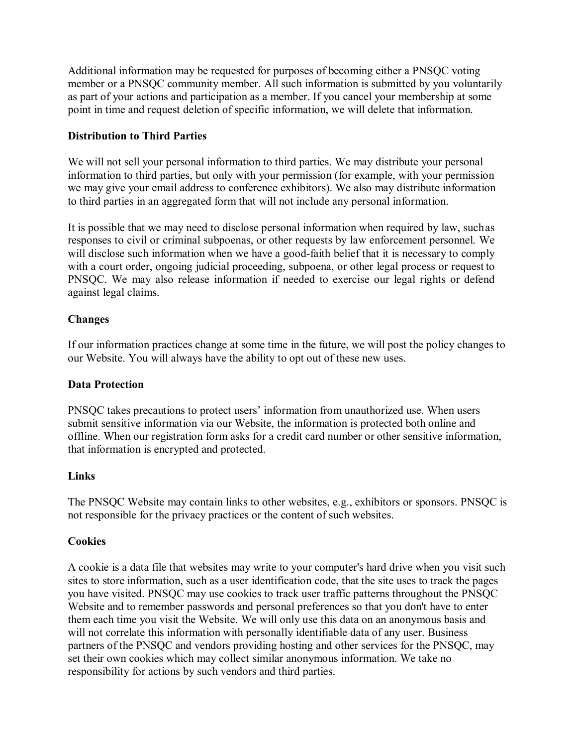Additional information may be requested for purposes of becoming either a PNSQC voting member or a PNSQC community member. All such information is submitted by you voluntarily as part of your actions and participation as a member. If you cancel your membership at some point in time and request deletion of specific information, we will delete that information.

## **Distribution to Third Parties**

We will not sell your personal information to third parties. We may distribute your personal information to third parties, but only with your permission (for example, with your permission we may give your email address to conference exhibitors). We also may distribute information to third parties in an aggregated form that will not include any personal information.

It is possible that we may need to disclose personal information when required by law, such as responses to civil or criminal subpoenas, or other requests by law enforcement personnel. We will disclose such information when we have a good-faith belief that it is necessary to comply with a court order, ongoing judicial proceeding, subpoena, or other legal process or request to PNSQC. We may also release information if needed to exercise our legal rights or defend against legal claims.

### **Changes**

If our information practices change at some time in the future, we will post the policy changes to our Website. You will always have the ability to opt out of these new uses.

#### **Data Protection**

PNSQC takes precautions to protect users' information from unauthorized use. When users submit sensitive information via our Website, the information is protected both online and offline. When our registration form asks for a credit card number or other sensitive information, that information is encrypted and protected.

#### **Links**

The PNSQC Website may contain links to other websites, e.g., exhibitors or sponsors. PNSQC is not responsible for the privacy practices or the content of such websites.

#### **Cookies**

A cookie is a data file that websites may write to your computer's hard drive when you visit such sites to store information, such as a user identification code, that the site uses to track the pages you have visited. PNSQC may use cookies to track user traffic patterns throughout the PNSQC Website and to remember passwords and personal preferences so that you don't have to enter them each time you visit the Website. We will only use this data on an anonymous basis and will not correlate this information with personally identifiable data of any user. Business partners of the PNSQC and vendors providing hosting and other services for the PNSQC, may set their own cookies which may collect similar anonymous information. We take no responsibility for actions by such vendors and third parties.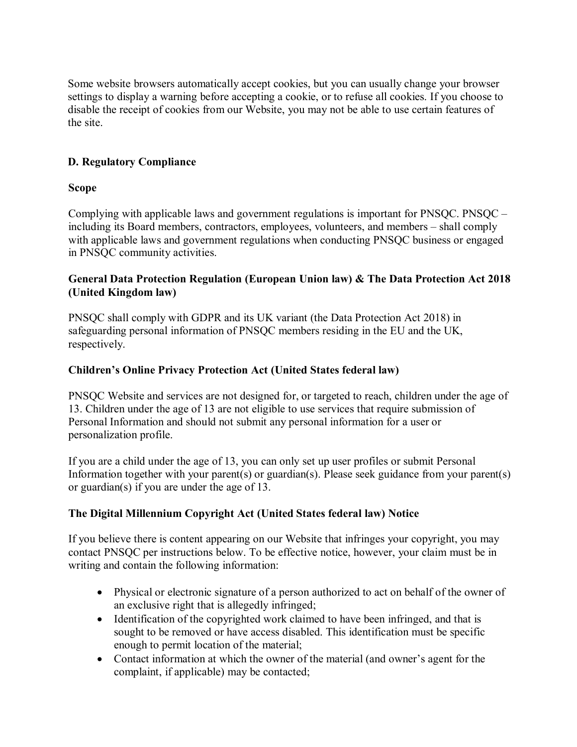Some website browsers automatically accept cookies, but you can usually change your browser settings to display a warning before accepting a cookie, or to refuse all cookies. If you choose to disable the receipt of cookies from our Website, you may not be able to use certain features of the site.

# **D. Regulatory Compliance**

# **Scope**

Complying with applicable laws and government regulations is important for PNSQC. PNSQC – including its Board members, contractors, employees, volunteers, and members – shall comply with applicable laws and government regulations when conducting PNSQC business or engaged in PNSQC community activities.

# **General Data Protection Regulation (European Union law) & The Data Protection Act 2018 (United Kingdom law)**

PNSQC shall comply with GDPR and its UK variant (the Data Protection Act 2018) in safeguarding personal information of PNSQC members residing in the EU and the UK, respectively.

# **Children's Online Privacy Protection Act (United States federal law)**

PNSQC Website and services are not designed for, or targeted to reach, children under the age of 13. Children under the age of 13 are not eligible to use services that require submission of Personal Information and should not submit any personal information for a user or personalization profile.

If you are a child under the age of 13, you can only set up user profiles or submit Personal Information together with your parent(s) or guardian(s). Please seek guidance from your parent(s) or guardian(s) if you are under the age of 13.

# **The Digital Millennium Copyright Act (United States federal law) Notice**

If you believe there is content appearing on our Website that infringes your copyright, you may contact PNSQC per instructions below. To be effective notice, however, your claim must be in writing and contain the following information:

- Physical or electronic signature of a person authorized to act on behalf of the owner of an exclusive right that is allegedly infringed;
- Identification of the copyrighted work claimed to have been infringed, and that is sought to be removed or have access disabled. This identification must be specific enough to permit location of the material;
- Contact information at which the owner of the material (and owner's agent for the complaint, if applicable) may be contacted;